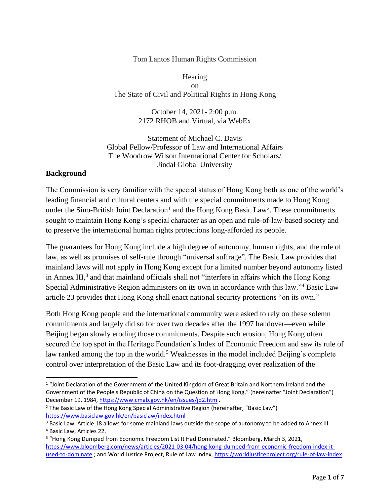#### Tom Lantos Human Rights Commission

**Hearing** on The State of Civil and Political Rights in Hong Kong

> October 14, 2021- 2:00 p.m. 2172 RHOB and Virtual, via WebEx

Statement of Michael C. Davis Global Fellow/Professor of Law and International Affairs The Woodrow Wilson International Center for Scholars/ Jindal Global University

#### **Background**

The Commission is very familiar with the special status of Hong Kong both as one of the world's leading financial and cultural centers and with the special commitments made to Hong Kong under the Sino-British Joint Declaration<sup>1</sup> and the Hong Kong Basic Law<sup>2</sup>. These commitments sought to maintain Hong Kong's special character as an open and rule-of-law-based society and to preserve the international human rights protections long-afforded its people.

The guarantees for Hong Kong include a high degree of autonomy, human rights, and the rule of law, as well as promises of self-rule through "universal suffrage". The Basic Law provides that mainland laws will not apply in Hong Kong except for a limited number beyond autonomy listed in Annex III, $3$  and that mainland officials shall not "interfere in affairs which the Hong Kong Special Administrative Region administers on its own in accordance with this law."<sup>4</sup> Basic Law article 23 provides that Hong Kong shall enact national security protections "on its own."

Both Hong Kong people and the international community were asked to rely on these solemn commitments and largely did so for over two decades after the 1997 handover—even while Beijing began slowly eroding those commitments. Despite such erosion, Hong Kong often secured the top spot in the Heritage Foundation's Index of Economic Freedom and saw its rule of law ranked among the top in the world.<sup>5</sup> Weaknesses in the model included Beijing's complete control over interpretation of the Basic Law and its foot-dragging over realization of the

<sup>&</sup>lt;sup>1</sup> "Joint Declaration of the Government of the United Kingdom of Great Britain and Northern Ireland and the Government of the People's Republic of China on the Question of Hong Kong," (hereinafter "Joint Declaration") December 19, 1984, <https://www.cmab.gov.hk/en/issues/jd2.htm> .

<sup>&</sup>lt;sup>2</sup> The Basic Law of the Hong Kong Special Administrative Region (hereinafter, "Basic Law") <https://www.basiclaw.gov.hk/en/basiclaw/index.html>

<sup>&</sup>lt;sup>3</sup> Basic Law, Article 18 allows for some mainland laws outside the scope of autonomy to be added to Annex III. <sup>4</sup> Basic Law, Articles 22.

<sup>5</sup> "Hong Kong Dumped from Economic Freedom List It Had Dominated," Bloomberg, March 3, 2021, [https://www.bloomberg.com/news/articles/2021-03-04/hong-kong-dumped-from-economic-freedom-index-it](https://www.bloomberg.com/news/articles/2021-03-04/hong-kong-dumped-from-economic-freedom-index-it-used-to-dominate)[used-to-dominate](https://www.bloomberg.com/news/articles/2021-03-04/hong-kong-dumped-from-economic-freedom-index-it-used-to-dominate) ; and World Justice Project, Rule of Law Index,<https://worldjusticeproject.org/rule-of-law-index>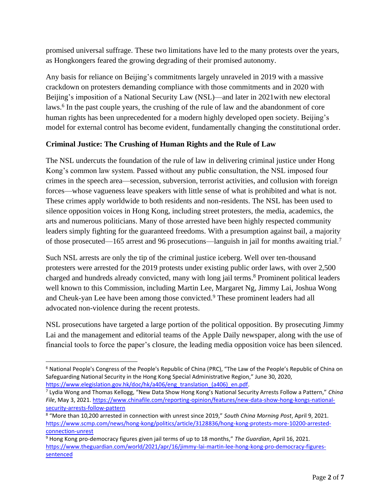promised universal suffrage. These two limitations have led to the many protests over the years, as Hongkongers feared the growing degrading of their promised autonomy.

Any basis for reliance on Beijing's commitments largely unraveled in 2019 with a massive crackdown on protesters demanding compliance with those commitments and in 2020 with Beijing's imposition of a National Security Law (NSL)—and later in 2021with new electoral laws. 6 In the past couple years, the crushing of the rule of law and the abandonment of core human rights has been unprecedented for a modern highly developed open society. Beijing's model for external control has become evident, fundamentally changing the constitutional order.

## **Criminal Justice: The Crushing of Human Rights and the Rule of Law**

The NSL undercuts the foundation of the rule of law in delivering criminal justice under Hong Kong's common law system. Passed without any public consultation, the NSL imposed four crimes in the speech area—secession, subversion, terrorist activities, and collusion with foreign forces—whose vagueness leave speakers with little sense of what is prohibited and what is not. These crimes apply worldwide to both residents and non-residents. The NSL has been used to silence opposition voices in Hong Kong, including street protesters, the media, academics, the arts and numerous politicians. Many of those arrested have been highly respected community leaders simply fighting for the guaranteed freedoms. With a presumption against bail, a majority of those prosecuted—165 arrest and 96 prosecutions—languish in jail for months awaiting trial.<sup>7</sup>

Such NSL arrests are only the tip of the criminal justice iceberg. Well over ten-thousand protesters were arrested for the 2019 protests under existing public order laws, with over 2,500 charged and hundreds already convicted, many with long jail terms. <sup>8</sup> Prominent political leaders well known to this Commission, including Martin Lee, Margaret Ng, Jimmy Lai, Joshua Wong and Cheuk-yan Lee have been among those convicted.<sup>9</sup> These prominent leaders had all advocated non-violence during the recent protests.

NSL prosecutions have targeted a large portion of the political opposition. By prosecuting Jimmy Lai and the management and editorial teams of the Apple Daily newspaper, along with the use of financial tools to force the paper's closure, the leading media opposition voice has been silenced.

<sup>6</sup> National People's Congress of the People's Republic of China (PRC), "The Law of the People's Republic of China on Safeguarding National Security in the Hong Kong Special Administrative Region," June 30, 2020, [https://www.elegislation.gov.hk/doc/hk/a406/eng\\_translation\\_\(a406\)\\_en.pdf.](https://www.elegislation.gov.hk/doc/hk/a406/eng_translation_(a406)_en.pdf)

<sup>7</sup> Lydia Wong and Thomas Kellogg, "New Data Show Hong Kong's National Security Arrests Follow a Pattern," *China File*, May 3, 2021[. https://www.chinafile.com/reporting-opinion/features/new-data-show-hong-kongs-national](https://www.chinafile.com/reporting-opinion/features/new-data-show-hong-kongs-national-security-arrests-follow-pattern)[security-arrests-follow-pattern](https://www.chinafile.com/reporting-opinion/features/new-data-show-hong-kongs-national-security-arrests-follow-pattern)

<sup>8</sup> "More than 10,200 arrested in connection with unrest since 2019," *South China Morning Post*, April 9, 2021. [https://www.scmp.com/news/hong-kong/politics/article/3128836/hong-kong-protests-more-10200-arrested](https://www.scmp.com/news/hong-kong/politics/article/3128836/hong-kong-protests-more-10200-arrested-connection-unrest)[connection-unrest](https://www.scmp.com/news/hong-kong/politics/article/3128836/hong-kong-protests-more-10200-arrested-connection-unrest)

<sup>9</sup> Hong Kong pro-democracy figures given jail terms of up to 18 months," *The Guardian*, April 16, 2021. [https://www.theguardian.com/world/2021/apr/16/jimmy-lai-martin-lee-hong-kong-pro-democracy-figures](https://www.theguardian.com/world/2021/apr/16/jimmy-lai-martin-lee-hong-kong-pro-democracy-figures-sentenced)[sentenced](https://www.theguardian.com/world/2021/apr/16/jimmy-lai-martin-lee-hong-kong-pro-democracy-figures-sentenced)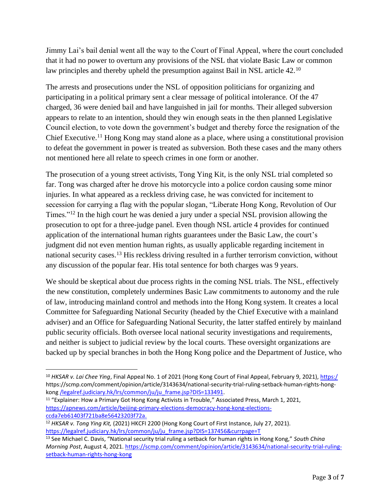Jimmy Lai's bail denial went all the way to the Court of Final Appeal, where the court concluded that it had no power to overturn any provisions of the NSL that violate Basic Law or common law principles and thereby upheld the presumption against Bail in NSL article 42.<sup>10</sup>

The arrests and prosecutions under the NSL of opposition politicians for organizing and participating in a political primary sent a clear message of political intolerance. Of the 47 charged, 36 were denied bail and have languished in jail for months. Their alleged subversion appears to relate to an intention, should they win enough seats in the then planned Legislative Council election, to vote down the government's budget and thereby force the resignation of the Chief Executive.<sup>11</sup> Hong Kong may stand alone as a place, where using a constitutional provision to defeat the government in power is treated as subversion. Both these cases and the many others not mentioned here all relate to speech crimes in one form or another.

The prosecution of a young street activists, Tong Ying Kit, is the only NSL trial completed so far. Tong was charged after he drove his motorcycle into a police cordon causing some minor injuries. In what appeared as a reckless driving case, he was convicted for incitement to secession for carrying a flag with the popular slogan, "Liberate Hong Kong, Revolution of Our Times."<sup>12</sup> In the high court he was denied a jury under a special NSL provision allowing the prosecution to opt for a three-judge panel. Even though NSL article 4 provides for continued application of the international human rights guarantees under the Basic Law, the court's judgment did not even mention human rights, as usually applicable regarding incitement in national security cases.<sup>13</sup> His reckless driving resulted in a further terrorism conviction, without any discussion of the popular fear. His total sentence for both charges was 9 years.

We should be skeptical about due process rights in the coming NSL trials. The NSL, effectively the new constitution, completely undermines Basic Law commitments to autonomy and the rule of law, introducing mainland control and methods into the Hong Kong system. It creates a local Committee for Safeguarding National Security (headed by the Chief Executive with a mainland adviser) and an Office for Safeguarding National Security, the latter staffed entirely by mainland public security officials. Both oversee local national security investigations and requirements, and neither is subject to judicial review by the local courts. These oversight organizations are backed up by special branches in both the Hong Kong police and the Department of Justice, who

<sup>&</sup>lt;sup>10</sup> HKSAR v. Lai Chee Ying, Final Appeal No. 1 of 2021 (Hong Kong Court of Final Appeal, February 9, 2021), [https:/](https://legalref.judiciary.hk/lrs/common/ju/ju_frame.jsp?DIS=133491) [https://scmp.com/comment/opinion/article/3143634/national-security-trial-ruling-setback-human-rights-hong](https://legalref.judiciary.hk/lrs/common/ju/ju_frame.jsp?DIS=133491)kong [/legalref.judiciary.hk/lrs/common/ju/ju\\_frame.jsp?DIS=133491.](https://legalref.judiciary.hk/lrs/common/ju/ju_frame.jsp?DIS=133491)

<sup>&</sup>lt;sup>11</sup> "Explainer: How a Primary Got Hong Kong Activists in Trouble," Associated Press, March 1, 2021, [https://apnews.com/article/beijing-primary-elections-democracy-hong-kong-elections](https://apnews.com/article/beijing-primary-elections-democracy-hong-kong-elections-ccda7eb61403f721ba8e56423203f72a)[ccda7eb61403f721ba8e56423203f72a.](https://apnews.com/article/beijing-primary-elections-democracy-hong-kong-elections-ccda7eb61403f721ba8e56423203f72a)

<sup>12</sup> *HKSAR v. Tong Ying Kit,* (2021) HKCFI 2200 (Hong Kong Court of First Instance, July 27, 2021). [https://legalref.judiciary.hk/lrs/common/ju/ju\\_frame.jsp?DIS=137456&currpage=T](https://legalref.judiciary.hk/lrs/common/ju/ju_frame.jsp?DIS=137456&currpage=T)

<sup>13</sup> See Michael C. Davis, "National security trial ruling a setback for human rights in Hong Kong," *South China Morning Post*, August 4, 2021. [https://scmp.com/comment/opinion/article/3143634/national-security-trial-ruling](https://scmp.com/comment/opinion/article/3143634/national-security-trial-ruling-setback-human-rights-hong-kong)[setback-human-rights-hong-kong](https://scmp.com/comment/opinion/article/3143634/national-security-trial-ruling-setback-human-rights-hong-kong)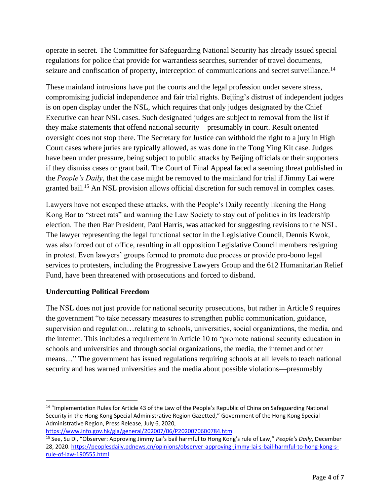operate in secret. The Committee for Safeguarding National Security has already issued special regulations for police that provide for warrantless searches, surrender of travel documents, seizure and confiscation of property, interception of communications and secret surveillance.<sup>14</sup>

These mainland intrusions have put the courts and the legal profession under severe stress, compromising judicial independence and fair trial rights. Beijing's distrust of independent judges is on open display under the NSL, which requires that only judges designated by the Chief Executive can hear NSL cases. Such designated judges are subject to removal from the list if they make statements that offend national security—presumably in court. Result oriented oversight does not stop there. The Secretary for Justice can withhold the right to a jury in High Court cases where juries are typically allowed, as was done in the Tong Ying Kit case. Judges have been under pressure, being subject to public attacks by Beijing officials or their supporters if they dismiss cases or grant bail. The Court of Final Appeal faced a seeming threat published in the *People's Daily*, that the case might be removed to the mainland for trial if Jimmy Lai were granted bail.<sup>15</sup> An NSL provision allows official discretion for such removal in complex cases.

Lawyers have not escaped these attacks, with the People's Daily recently likening the Hong Kong Bar to "street rats" and warning the Law Society to stay out of politics in its leadership election. The then Bar President, Paul Harris, was attacked for suggesting revisions to the NSL. The lawyer representing the legal functional sector in the Legislative Council, Dennis Kwok, was also forced out of office, resulting in all opposition Legislative Council members resigning in protest. Even lawyers' groups formed to promote due process or provide pro-bono legal services to protesters, including the Progressive Lawyers Group and the 612 Humanitarian Relief Fund, have been threatened with prosecutions and forced to disband.

# **Undercutting Political Freedom**

The NSL does not just provide for national security prosecutions, but rather in Article 9 requires the government "to take necessary measures to strengthen public communication, guidance, supervision and regulation…relating to schools, universities, social organizations, the media, and the internet. This includes a requirement in Article 10 to "promote national security education in schools and universities and through social organizations, the media, the internet and other means…" The government has issued regulations requiring schools at all levels to teach national security and has warned universities and the media about possible violations—presumably

```
https://www.info.gov.hk/gia/general/202007/06/P2020070600784.htm
```
<sup>&</sup>lt;sup>14</sup> "Implementation Rules for Article 43 of the Law of the People's Republic of China on Safeguarding National Security in the Hong Kong Special Administrative Region Gazetted," Government of the Hong Kong Special Administrative Region, Press Release, July 6, 2020,

<sup>15</sup> See, Su Di, "Observer: Approving Jimmy Lai's bail harmful to Hong Kong's rule of Law," *People's Daily*, December 28, 2020. [https://peoplesdaily.pdnews.cn/opinions/observer-approving-jimmy-lai-s-bail-harmful-to-hong-kong-s](https://peoplesdaily.pdnews.cn/opinions/observer-approving-jimmy-lai-s-bail-harmful-to-hong-kong-s-rule-of-law-190555.html)[rule-of-law-190555.html](https://peoplesdaily.pdnews.cn/opinions/observer-approving-jimmy-lai-s-bail-harmful-to-hong-kong-s-rule-of-law-190555.html)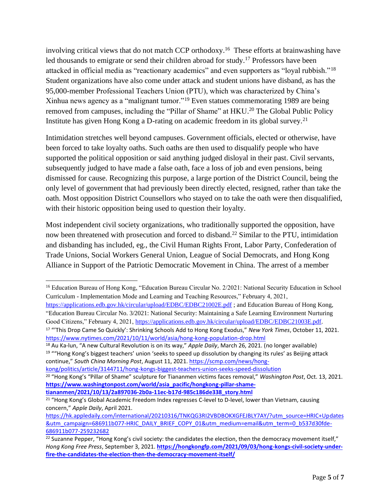involving critical views that do not match CCP orthodoxy. <sup>16</sup> These efforts at brainwashing have led thousands to emigrate or send their children abroad for study.<sup>17</sup> Professors have been attacked in official media as "reactionary academics" and even supporters as "loyal rubbish."<sup>18</sup> Student organizations have also come under attack and student unions have disband, as has the 95,000-member Professional Teachers Union (PTU), which was characterized by China's Xinhua news agency as a "malignant tumor."<sup>19</sup> Even statues commemorating 1989 are being removed from campuses, including the "Pillar of Shame" at HKU.<sup>20</sup> The Global Public Policy Institute has given Hong Kong a D-rating on academic freedom in its global survey.<sup>21</sup>

Intimidation stretches well beyond campuses. Government officials, elected or otherwise, have been forced to take loyalty oaths. Such oaths are then used to disqualify people who have supported the political opposition or said anything judged disloyal in their past. Civil servants, subsequently judged to have made a false oath, face a loss of job and even pensions, being dismissed for cause. Recognizing this purpose, a large portion of the District Council, being the only level of government that had previously been directly elected, resigned, rather than take the oath. Most opposition District Counsellors who stayed on to take the oath were then disqualified, with their historic opposition being used to question their loyalty.

Most independent civil society organizations, who traditionally supported the opposition, have now been threatened with prosecution and forced to disband.<sup>22</sup> Similar to the PTU, intimidation and disbanding has included, eg., the Civil Human Rights Front, Labor Party, Confederation of Trade Unions, Social Workers General Union, League of Social Democrats, and Hong Kong Alliance in Support of the Patriotic Democratic Movement in China. The arrest of a member

[kong/politics/article/3144711/hong-kongs-biggest-teachers-union-seeks-speed-dissolution](https://scmp.com/news/hong-kong/politics/article/3144711/hong-kongs-biggest-teachers-union-seeks-speed-dissolution)

<sup>&</sup>lt;sup>16</sup> Education Bureau of Hong Kong, "Education Bureau Circular No. 2/2021: National Security Education in School Curriculum - Implementation Mode and Learning and Teaching Resources," February 4, 2021,

<https://applications.edb.gov.hk/circular/upload/EDBC/EDBC21002E.pdf>; and Education Bureau of Hong Kong, "Education Bureau Circular No. 3/2021: National Security: Maintaining a Safe Learning Environment Nurturing Good Citizens," February 4, 2021, [https://applications.edb.gov.hk/circular/upload/EDBC/EDBC21003E.pdf.](https://applications.edb.gov.hk/circular/upload/EDBC/EDBC21003E.pdf) <sup>17</sup> "'This Drop Came So Quickly': Shrinking Schools Add to Hong Kong Exodus," *New York Times*, October 11, 2021.

<https://www.nytimes.com/2021/10/11/world/asia/hong-kong-population-drop.html>

<sup>18</sup> Au Ka-lun, "A new Cultural Revolution is on its way," *Apple Daily*, March 26, 2021. (no longer available) <sup>19</sup> ""Hong Kong's biggest teachers' union 'seeks to speed up dissolution by changing its rules' as Beijing attack continue," *South China Morning Post*, August 11, 2021[. https://scmp.com/news/hong-](https://scmp.com/news/hong-kong/politics/article/3144711/hong-kongs-biggest-teachers-union-seeks-speed-dissolution)

<sup>20</sup> "Hong Kong's "Pillar of Shame" sculpture for Tiananmen victims faces removal," *Washington Post*, Oct. 13, 2021. **[https://www.washingtonpost.com/world/asia\\_pacific/hongkong-pillar-shame](https://www.washingtonpost.com/world/asia_pacific/hongkong-pillar-shame-tiananmen/2021/10/13/2a897036-2b0a-11ec-b17d-985c186de338_story.html)[tiananmen/2021/10/13/2a897036-2b0a-11ec-b17d-985c186de338\\_story.html](https://www.washingtonpost.com/world/asia_pacific/hongkong-pillar-shame-tiananmen/2021/10/13/2a897036-2b0a-11ec-b17d-985c186de338_story.html)**

<sup>&</sup>lt;sup>21</sup> "Hong Kong's Global Academic Freedom Index regresses C-level to D-level, lower than Vietnam, causing concern," *Apple Daily*, April 2021.

[https://hk.appledaily.com/international/20210316/TNKQG3RI2VBDBOKXGFEJBLY7AY/?utm\\_source=HRIC+Updates](https://hk.appledaily.com/international/20210316/TNKQG3RI2VBDBOKXGFEJBLY7AY/?utm_source=HRIC+Updates&utm_campaign=686911b077-HRIC_DAILY_BRIEF_COPY_01&utm_medium=email&utm_term=0_b537d30fde-686911b077-259232682) [&utm\\_campaign=686911b077-HRIC\\_DAILY\\_BRIEF\\_COPY\\_01&utm\\_medium=email&utm\\_term=0\\_b537d30fde-](https://hk.appledaily.com/international/20210316/TNKQG3RI2VBDBOKXGFEJBLY7AY/?utm_source=HRIC+Updates&utm_campaign=686911b077-HRIC_DAILY_BRIEF_COPY_01&utm_medium=email&utm_term=0_b537d30fde-686911b077-259232682)[686911b077-259232682](https://hk.appledaily.com/international/20210316/TNKQG3RI2VBDBOKXGFEJBLY7AY/?utm_source=HRIC+Updates&utm_campaign=686911b077-HRIC_DAILY_BRIEF_COPY_01&utm_medium=email&utm_term=0_b537d30fde-686911b077-259232682)

 $22$  Suzanne Pepper, "Hong Kong's civil society: the candidates the election, then the democracy movement itself," *Hong Kong Free Press*, September 3, 2021. **[https://hongkongfp.com/2021/09/03/hong-kongs-civil-society-under](https://hongkongfp.com/2021/09/03/hong-kongs-civil-society-under-fire-the-candidates-the-election-then-the-democracy-movement-itself/)[fire-the-candidates-the-election-then-the-democracy-movement-itself/](https://hongkongfp.com/2021/09/03/hong-kongs-civil-society-under-fire-the-candidates-the-election-then-the-democracy-movement-itself/)**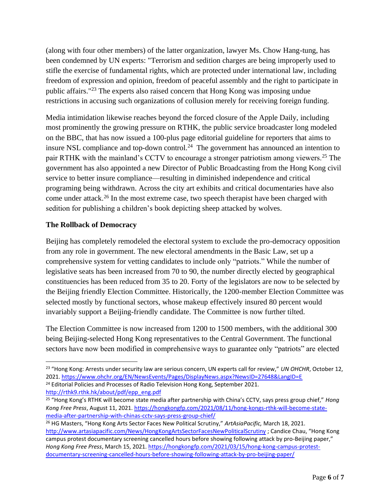(along with four other members) of the latter organization, lawyer Ms. Chow Hang-tung, has been condemned by UN experts: "Terrorism and sedition charges are being improperly used to stifle the exercise of fundamental rights, which are protected under international law, including freedom of expression and opinion, freedom of peaceful assembly and the right to participate in public affairs."<sup>23</sup> The experts also raised concern that Hong Kong was imposing undue restrictions in accusing such organizations of collusion merely for receiving foreign funding.

Media intimidation likewise reaches beyond the forced closure of the Apple Daily, including most prominently the growing pressure on RTHK, the public service broadcaster long modeled on the BBC, that has now issued a 100-plus page editorial guideline for reporters that aims to insure NSL compliance and top-down control.<sup>24</sup> The government has announced an intention to pair RTHK with the mainland's CCTV to encourage a stronger patriotism among viewers.<sup>25</sup> The government has also appointed a new Director of Public Broadcasting from the Hong Kong civil service to better insure compliance—resulting in diminished independence and critical programing being withdrawn. Across the city art exhibits and critical documentaries have also come under attack.<sup>26</sup> In the most extreme case, two speech therapist have been charged with sedition for publishing a children's book depicting sheep attacked by wolves.

### **The Rollback of Democracy**

Beijing has completely remodeled the electoral system to exclude the pro-democracy opposition from any role in government. The new electoral amendments in the Basic Law, set up a comprehensive system for vetting candidates to include only "patriots." While the number of legislative seats has been increased from 70 to 90, the number directly elected by geographical constituencies has been reduced from 35 to 20. Forty of the legislators are now to be selected by the Beijing friendly Election Committee. Historically, the 1200-member Election Committee was selected mostly by functional sectors, whose makeup effectively insured 80 percent would invariably support a Beijing-friendly candidate. The Committee is now further tilted.

The Election Committee is now increased from 1200 to 1500 members, with the additional 300 being Beijing-selected Hong Kong representatives to the Central Government. The functional sectors have now been modified in comprehensive ways to guarantee only "patriots" are elected

<sup>23</sup> "Hong Kong: Arrests under security law are serious concern, UN experts call for review," *UN OHCHR*, October 12, 2021.<https://www.ohchr.org/EN/NewsEvents/Pages/DisplayNews.aspx?NewsID=27648&LangID=E> <sup>24</sup> Editorial Policies and Processes of Radio Television Hong Kong, September 2021. [http://rthk9.rthk.hk/about/pdf/epp\\_eng.pdf](http://rthk9.rthk.hk/about/pdf/epp_eng.pdf)

<sup>25</sup> "Hong Kong's RTHK will become state media after partnership with China's CCTV, says press group chief," *Hong Kong Free Press*, August 11, 2021. [https://hongkongfp.com/2021/08/11/hong-kongs-rthk-will-become-state](https://hongkongfp.com/2021/08/11/hong-kongs-rthk-will-become-state-media-after-partnership-with-chinas-cctv-says-press-group-chief/)[media-after-partnership-with-chinas-cctv-says-press-group-chief/](https://hongkongfp.com/2021/08/11/hong-kongs-rthk-will-become-state-media-after-partnership-with-chinas-cctv-says-press-group-chief/)

<sup>26</sup> HG Masters, "Hong Kong Arts Sector Faces New Political Scrutiny," *ArtAsiaPacific,* March 18, 2021. <http://www.artasiapacific.com/News/HongKongArtsSectorFacesNewPoliticalScrutiny> ; Candice Chau, "Hong Kong campus protest documentary screening cancelled hours before showing following attack by pro-Beijing paper," *Hong Kong Free Press*, March 15, 2021. [https://hongkongfp.com/2021/03/15/hong-kong-campus-protest](https://hongkongfp.com/2021/03/15/hong-kong-campus-protest-documentary-screening-cancelled-hours-before-showing-following-attack-by-pro-beijing-paper/)[documentary-screening-cancelled-hours-before-showing-following-attack-by-pro-beijing-paper/](https://hongkongfp.com/2021/03/15/hong-kong-campus-protest-documentary-screening-cancelled-hours-before-showing-following-attack-by-pro-beijing-paper/)